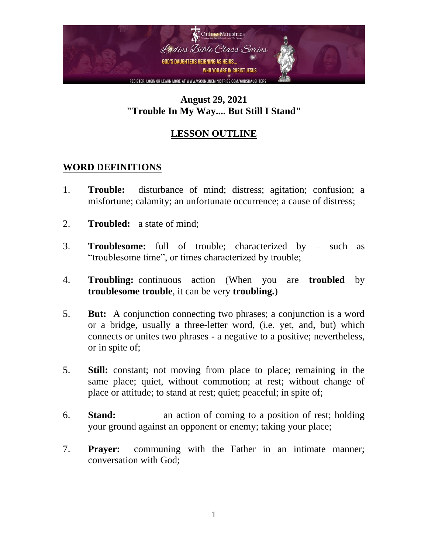

## **August 29, 2021 "Trouble In My Way.... But Still I Stand"**

# **LESSON OUTLINE**

## **WORD DEFINITIONS**

- 1. **Trouble:** disturbance of mind; distress; agitation; confusion; a misfortune; calamity; an unfortunate occurrence; a cause of distress;
- 2. **Troubled:** a state of mind;
- 3. **Troublesome:** full of trouble; characterized by such as "troublesome time", or times characterized by trouble;
- 4. **Troubling:** continuous action (When you are **troubled** by **troublesome trouble**, it can be very **troubling.**)
- 5. **But:** A conjunction connecting two phrases; a conjunction is a word or a bridge, usually a three-letter word, (i.e. yet, and, but) which connects or unites two phrases - a negative to a positive; nevertheless, or in spite of;
- 5. **Still:** constant; not moving from place to place; remaining in the same place; quiet, without commotion; at rest; without change of place or attitude; to stand at rest; quiet; peaceful; in spite of;
- 6. **Stand:** an action of coming to a position of rest; holding your ground against an opponent or enemy; taking your place;
- 7. **Prayer:** communing with the Father in an intimate manner; conversation with God;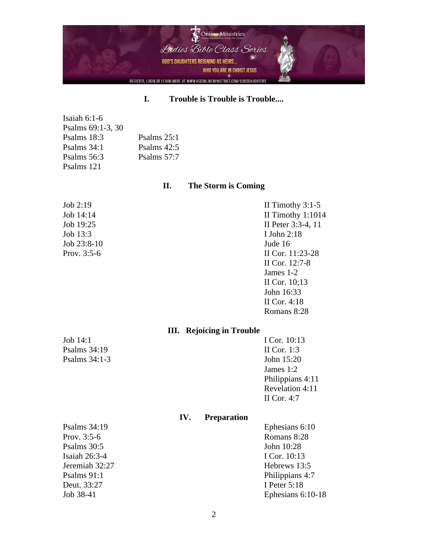

#### **I. Trouble is Trouble is Trouble....**

| Isaiah 6:1-6      |               |
|-------------------|---------------|
| Psalms 69:1-3, 30 |               |
| Psalms 18:3       | Psalms $25:1$ |
| Psalms 34:1       | Psalms $42:5$ |
| Psalms 56:3       | Psalms $57:7$ |
| Psalms 121        |               |
|                   |               |

### **II. The Storm is Coming**

| Job 2:19      | II Timothy $3:1-5$  |
|---------------|---------------------|
| Job 14:14     | II Timothy $1:1014$ |
| Job 19:25     | II Peter 3:3-4, 11  |
| Job 13:3      | I John $2:18$       |
| $Job 23:8-10$ | Jude 16             |
| Prov. $3:5-6$ | II Cor. 11:23-28    |
|               | II Cor. 12:7-8      |
|               | James 1-2           |
|               | II Cor. $10;13$     |
|               | John 16:33          |
|               | II Cor. $4:18$      |

#### **III. Rejoicing in Trouble**

Psalms 34:19 II Cor. 1:3 Psalms 34:1-3 John 15:20

Job 14:1 I Cor. 10:13 James 1:2 Philippians 4:11 Revelation 4:11 II Cor. 4:7

Romans 8:28

### **IV. Preparation**

Prov. 3:5-6 Romans 8:28 Psalms 30:5 John 10:28 Isaiah 26:3-4 I Cor. 10:13 Jeremiah 32:27 Hebrews 13:5 Deut. 33:27 I Peter 5:18

Psalms 34:19 Ephesians 6:10 Psalms 91:1 Philippians 4:7 Job 38-41 Ephesians 6:10-18